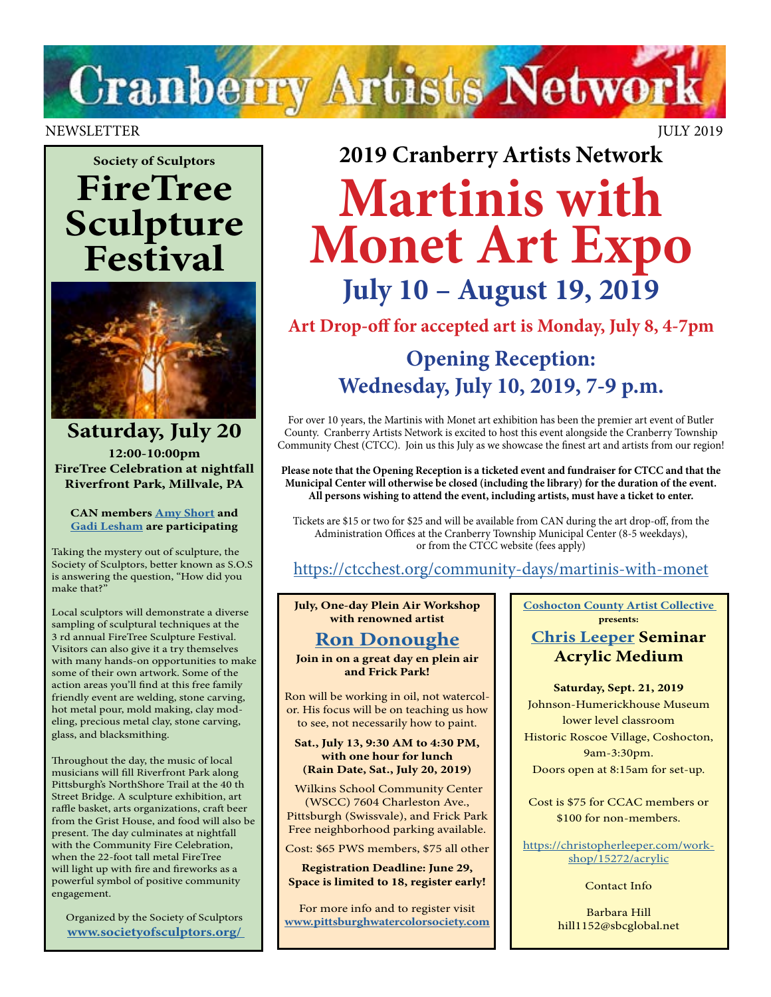

#### NEWSLETTER JULY 2019

## **Society of Sculptors FireTree Sculpture Festival**



**Saturday, July 20 12:00-10:00pm FireTree Celebration at nightfall Riverfront Park, Millvale, PA**

**CAN members [Amy Short](http://www.amyshortart.com/) and [Gadi Lesham](https://www.facebook.com/gadi.leshem.1) are participating**

Taking the mystery out of sculpture, the Society of Sculptors, better known as S.O.S is answering the question, "How did you make that?"

Local sculptors will demonstrate a diverse sampling of sculptural techniques at the 3 rd annual FireTree Sculpture Festival. Visitors can also give it a try themselves with many hands-on opportunities to make some of their own artwork. Some of the action areas you'll find at this free family friendly event are welding, stone carving, hot metal pour, mold making, clay modeling, precious metal clay, stone carving, glass, and blacksmithing.

Throughout the day, the music of local musicians will fill Riverfront Park along Pittsburgh's NorthShore Trail at the 40 th Street Bridge. A sculpture exhibition, art raffle basket, arts organizations, craft beer from the Grist House, and food will also be present. The day culminates at nightfall with the Community Fire Celebration, when the 22-foot tall metal FireTree will light up with fire and fireworks as a powerful symbol of positive community engagement.

Organized by the Society of Sculptors **[www.societyofsculptors.org/](http://www.societyofsculptors.org/ )** 

**2019 Cranberry Artists Network Martinis with Monet Art Expo**

**July 10 – August 19, 2019**

**Art Drop-off for accepted art is Monday, July 8, 4-7pm**

### **Opening Reception: Wednesday, July 10, 2019, 7-9 p.m.**

For over 10 years, the Martinis with Monet art exhibition has been the premier art event of Butler County. Cranberry Artists Network is excited to host this event alongside the Cranberry Township Community Chest (CTCC). Join us this July as we showcase the finest art and artists from our region!

**Please note that the Opening Reception is a ticketed event and fundraiser for CTCC and that the Municipal Center will otherwise be closed (including the library) for the duration of the event. All persons wishing to attend the event, including artists, must have a ticket to enter.** 

Tickets are \$15 or two for \$25 and will be available from CAN during the art drop-off, from the Administration Offices at the Cranberry Township Municipal Center (8-5 weekdays), or from the CTCC website (fees apply)

#### <https://ctcchest.org/community-days/martinis-with-monet>

**July, One-day Plein Air Workshop with renowned artist** 

#### **[Ron Donoughe](https://donoughe.com/)**

**Join in on a great day en plein air and Frick Park!**

Ron will be working in oil, not watercolor. His focus will be on teaching us how to see, not necessarily how to paint.

**Sat., July 13, 9:30 AM to 4:30 PM, with one hour for lunch (Rain Date, Sat., July 20, 2019)**

 Wilkins School Community Center (WSCC) 7604 Charleston Ave., Pittsburgh (Swissvale), and Frick Park Free neighborhood parking available.

Cost: \$65 PWS members, \$75 all other

**Registration Deadline: June 29, Space is limited to 18, register early!**

For more info and to register visit **[www.pittsburghwatercolorsociety.com](http://www.pittsburghwatercolorsociety.com)** **[Coshocton County Artist Collective](http://www.ccacart.org/) presents:** 

#### **[Chris Leeper](https://christopherleeper.com) Seminar Acrylic Medium**

**Saturday, Sept. 21, 2019**

Johnson-Humerickhouse Museum lower level classroom Historic Roscoe Village, Coshocton, 9am-3:30pm. Doors open at 8:15am for set-up.

Cost is \$75 for CCAC members or \$100 for non-members.

[https://christopherleeper.com/work](https://christopherleeper.com/workshop/15272/acrylic)[shop/15272/acrylic](https://christopherleeper.com/workshop/15272/acrylic)

Contact Info

Barbara Hill hill1152@sbcglobal.net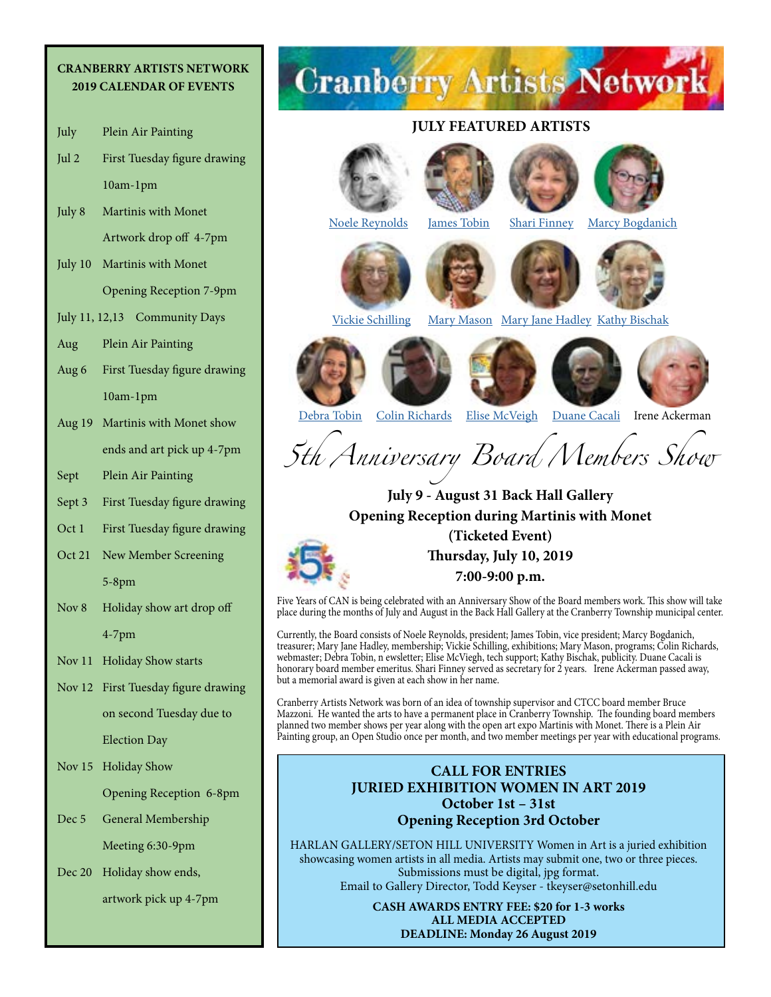#### **CRANBERRY ARTISTS NETWORK 2019 CALENDAR OF EVENTS**

- July Plein Air Painting
- Jul 2 First Tuesday figure drawing 10am-1pm
- July 8 Martinis with Monet Artwork drop off 4-7pm
- July 10 Martinis with Monet Opening Reception 7-9pm
- July 11, 12,13 Community Days
- Aug Plein Air Painting
- Aug 6 First Tuesday figure drawing 10am-1pm
- Aug 19 Martinis with Monet show ends and art pick up 4-7pm
- Sept Plein Air Painting
- Sept 3 First Tuesday figure drawing
- Oct 1 First Tuesday figure drawing
- Oct 21 New Member Screening 5-8pm
- Nov 8 Holiday show art drop off 4-7pm
- Nov 11 Holiday Show starts
- Nov 12 First Tuesday figure drawing on second Tuesday due to Election Day

Nov 15 Holiday Show

Opening Reception 6-8pm

- Dec 5 General Membership Meeting 6:30-9pm
- Dec 20 Holiday show ends,

artwork pick up 4-7pm

# **Cranberry Artists Network**

#### **JULY FEATURED ARTISTS**















[Vickie Schilling](https://www.vickieschilling.com/) [Mary Mason](https://www.facebook.com/mary.b.mason.9) [Mary Jane Hadley](https://www.facebook.com/maryjane.hadley) [Kathy Bischak](http://beavervalleyartists.org/Artist/bischak.html)







[Debra Tobin](http://www.debratobinart.com/) [Colin Richards](https://www.facebook.com/ColinRichardsArt/?eid=ARD-ctd36VIxMaa0Qy2jKUWPBtS7Q29rs4O0kuTg7LxJRL6cIxW9y_CJgx_dTuQvRKqTTxAfvKFocMnh&timeline_context_item_type=intro_card_work&timeline_context_item_source=100007039621778&fref=tag) [Elise McVeigh](https://www.facebook.com/elise.mcveigh2) [Duane Cacali](http://www.dcdigitalcanvas.com/) Irene Ackerman

*5th Anniversary Board Members Show* 

**July 9 - August 31 Back Hall Gallery Opening Reception during Martinis with Monet (Ticketed Event) Thursday, July 10, 2019** 



**7:00-9:00 p.m.**

Five Years of CAN is being celebrated with an Anniversary Show of the Board members work. This show will take place during the months of July and August in the Back Hall Gallery at the Cranberry Township municipal center.

Currently, the Board consists of Noele Reynolds, president; James Tobin, vice president; Marcy Bogdanich, treasurer; Mary Jane Hadley, membership; Vickie Schilling, exhibitions; Mary Mason, programs; Colin Richards, webmaster; Debra Tobin, n ewsletter; Elise McViegh, tech support; Kathy Bischak, publicity. Duane Cacali is honorary board member emeritus. Shari Finney served as secretary for 2 years. Irene Ackerman passed away, but a memorial award is given at each show in her name.

Cranberry Artists Network was born of an idea of township supervisor and CTCC board member Bruce Mazzoni. He wanted the arts to have a permanent place in Cranberry Township. The founding board members planned two member shows per year along with the open art expo Martinis with Monet. There is a Plein Air Painting group, an Open Studio once per month, and two member meetings per year with educational programs.

#### **CALL FOR ENTRIES JURIED EXHIBITION WOMEN IN ART 2019 October 1st – 31st Opening Reception 3rd October**

HARLAN GALLERY/SETON HILL UNIVERSITY Women in Art is a juried exhibition showcasing women artists in all media. Artists may submit one, two or three pieces. Submissions must be digital, jpg format. Email to Gallery Director, Todd Keyser - tkeyser@setonhill.edu

> **CASH AWARDS ENTRY FEE: \$20 for 1-3 works ALL MEDIA ACCEPTED DEADLINE: Monday 26 August 2019**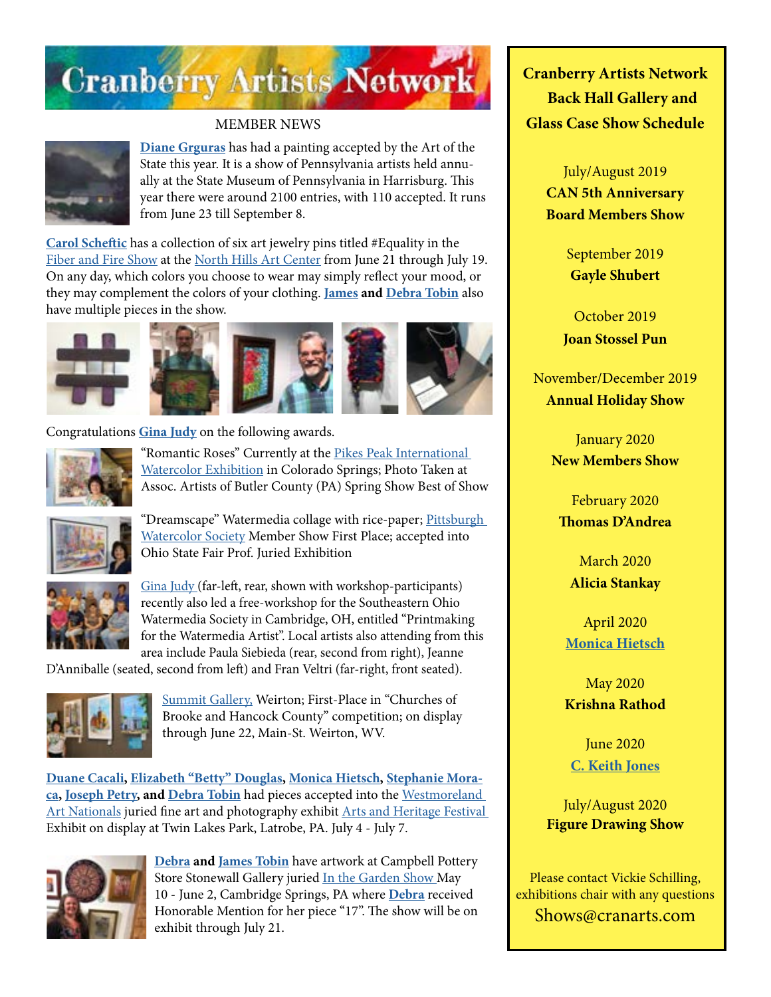

#### MEMBER NEWS



**[Diane Grguras](https://dianegrguras.com/)** has had a painting accepted by the Art of the State this year. It is a show of Pennsylvania artists held annually at the State Museum of Pennsylvania in Harrisburg. This year there were around 2100 entries, with 110 accepted. It runs from June 23 till September 8.

**[Carol Scheftic](http://convergentseries.com/)** has a collection of six art jewelry pins titled #Equality in the [Fiber and Fire Show](https://www.northhillsartcenter.org/resources/Documents/Shows/F_F%20Flyer%202019.jpg) at the [North Hills Art Center](https://www.northhillsartcenter.org/) from June 21 through July 19. On any day, which colors you choose to wear may simply reflect your mood, or they may complement the colors of your clothing. **[James](http://www.jamestobinart.com) and [Debra Tobin](http://www.debratobinart.com/)** also have multiple pieces in the show.









Congratulations **[Gina Judy](https://www.facebook.com/gina.judy.31)** on the following awards.



"Romantic Roses" Currently at the Pikes Peak International [Watercolor Exhibition](https://pikespeakwatercolorsociety.com//) in Colorado Springs; Photo Taken at Assoc. Artists of Butler County (PA) Spring Show Best of Show



"Dreamscape" Watermedia collage with rice-paper; Pittsburgh [Watercolor Society](https://www.pittsburghwatercolorsociety.com/) Member Show First Place; accepted into Ohio State Fair Prof. Juried Exhibition



[Gina Judy \(](https://www.facebook.com/gina.judy.31)far-left, rear, shown with workshop-participants) recently also led a free-workshop for the Southeastern Ohio Watermedia Society in Cambridge, OH, entitled "Printmaking for the Watermedia Artist". Local artists also attending from this area include Paula Siebieda (rear, second from right), Jeanne

D'Anniballe (seated, second from left) and Fran Veltri (far-right, front seated).



[Summit Gallery,](http://www.topofwv.com/summit-gallery/) Weirton; First-Place in "Churches of Brooke and Hancock County" competition; on display through June 22, Main-St. Weirton, WV.

**[Duane Cacali,](http://www.dcdigitalcanvas.com/) [Elizabeth "Betty" Douglas](http://douglasartgallery.com/), [Monica Hietsch,](https://www.monicahietsch.com/) [Stephanie Mora](http://www.thepaintingstoof.com/artwork.html)[ca](http://www.thepaintingstoof.com/artwork.html), [Joseph Petry,](https://www.facebook.com/PetryFineArt/) and [Debra Tobin](http://www.debratobinart.com)** had pieces accepted into the [Westmoreland](https://artsandheritage.com/2019-festival/art-nationals/)  [Art Nationals](https://artsandheritage.com/2019-festival/art-nationals/) juried fine art and photography exhibit [Arts and Heritage Festival](https://artsandheritage.com/)  Exhibit on display at Twin Lakes Park, Latrobe, PA. July 4 - July 7.



**[Debra](http://www.debratobinart.com) and [James Tobin](http://www.jamestobinart.com)** have artwork at Campbell Pottery Store Stonewall Gallery juried [In the Garden Show M](http://www.campbellpotterystore.com/events/event?date_time_id=1060)ay 10 - June 2, Cambridge Springs, PA where **[Debra](http://www.debratobinart.com)** received Honorable Mention for her piece "17". The show will be on exhibit through July 21.

**Cranberry Artists Network Back Hall Gallery and Glass Case Show Schedule** 

> July/August 2019 **CAN 5th Anniversary Board Members Show**

> > September 2019 **Gayle Shubert**

October 2019 **Joan Stossel Pun**

November/December 2019 **Annual Holiday Show**

> January 2020 **New Members Show**

February 2020 **Thomas D'Andrea**

March 2020 **Alicia Stankay**

April 2020 **[Monica Hietsch](https://www.monicahietsch.com/)**

May 2020 **Krishna Rathod**

June 2020 **[C. Keith Jones](http://ckeithjonesartist.com/)**

July/August 2020 **Figure Drawing Show**

Please contact Vickie Schilling, exhibitions chair with any questions Shows@cranarts.com